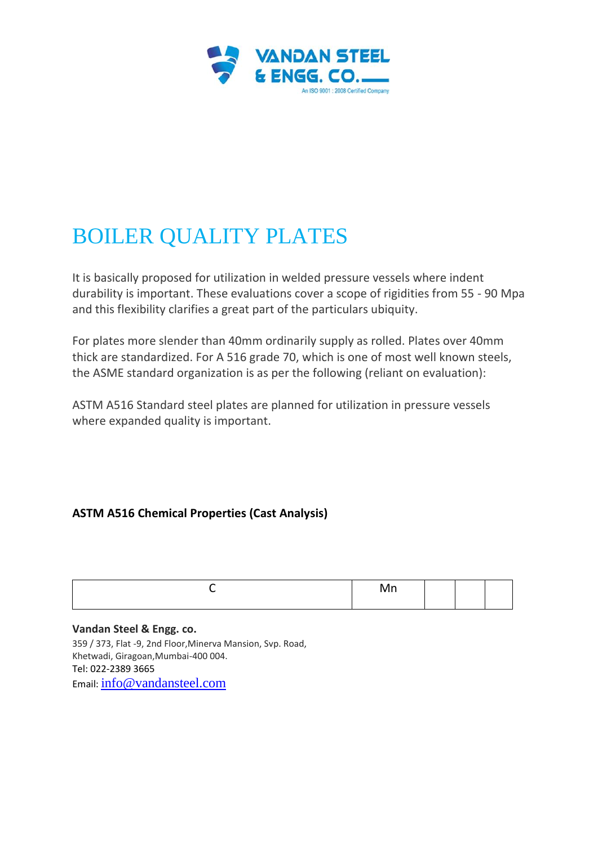

# BOILER QUALITY PLATES

It is basically proposed for utilization in welded pressure vessels where indent durability is important. These evaluations cover a scope of rigidities from 55 - 90 Mpa and this flexibility clarifies a great part of the particulars ubiquity.

For plates more slender than 40mm ordinarily supply as rolled. Plates over 40mm thick are standardized. For A 516 grade 70, which is one of most well known steels, the ASME standard organization is as per the following (reliant on evaluation):

ASTM A516 Standard steel plates are planned for utilization in pressure vessels where expanded quality is important.

# **ASTM A516 Chemical Properties (Cast Analysis)**

| . .<br>'N<br>. |  |  |
|----------------|--|--|
|                |  |  |

#### **Vandan Steel & Engg. co.**

359 / 373, Flat -9, 2nd Floor,Minerva Mansion, Svp. Road, Khetwadi, Giragoan,Mumbai-400 004. Tel: 022-2389 3665 Email: [info@vandansteel.com](mailto:info@vandansteel.com)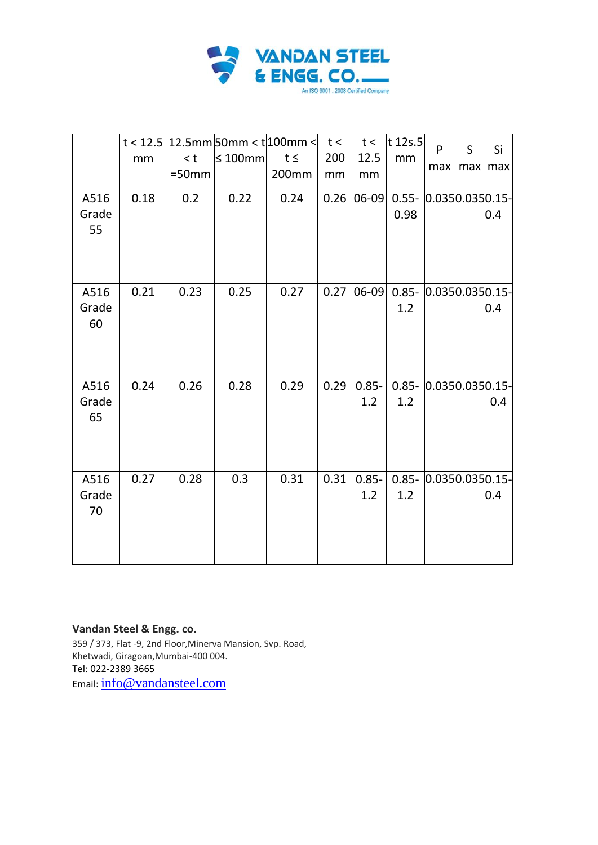

| A516<br>Grade<br>55 | mm<br>0.18 | < t<br>$=50$ mm<br>0.2 | $t < 12.5$ 12.5mm 50mm < t 100mm < t t <<br>$\leq 100$ mm<br>0.22 | $t \leq$<br>200mm<br>0.24 | 200<br>mm<br>0.26 | t<<br>12.5<br>mm<br>$ 06-09 $ | t $12s.5$<br>mm<br>$0.55 - 0.0350.0350.15$<br>0.98 | P<br>max | S<br>max | Si<br>max<br>0.4 |
|---------------------|------------|------------------------|-------------------------------------------------------------------|---------------------------|-------------------|-------------------------------|----------------------------------------------------|----------|----------|------------------|
| A516<br>Grade<br>60 | 0.21       | 0.23                   | 0.25                                                              | 0.27                      | 0.27              | $ 06-09 $                     | $0.85 - 0.0350.0350.15$<br>1.2                     |          |          | 0.4              |
| A516<br>Grade<br>65 | 0.24       | 0.26                   | 0.28                                                              | 0.29                      | 0.29              | $0.85 -$<br>1.2               | $0.85 - 0.0350.0350.15$<br>1.2                     |          |          | 0.4              |
| A516<br>Grade<br>70 | 0.27       | 0.28                   | 0.3                                                               | 0.31                      | 0.31              | $0.85 -$<br>1.2               | $0.85 - 0.0350.0350.15 -$<br>1.2                   |          |          | 0.4              |

#### **Vandan Steel & Engg. co.**

359 / 373, Flat -9, 2nd Floor,Minerva Mansion, Svp. Road, Khetwadi, Giragoan,Mumbai-400 004. Tel: 022-2389 3665 Email: [info@vandansteel.com](mailto:info@vandansteel.com)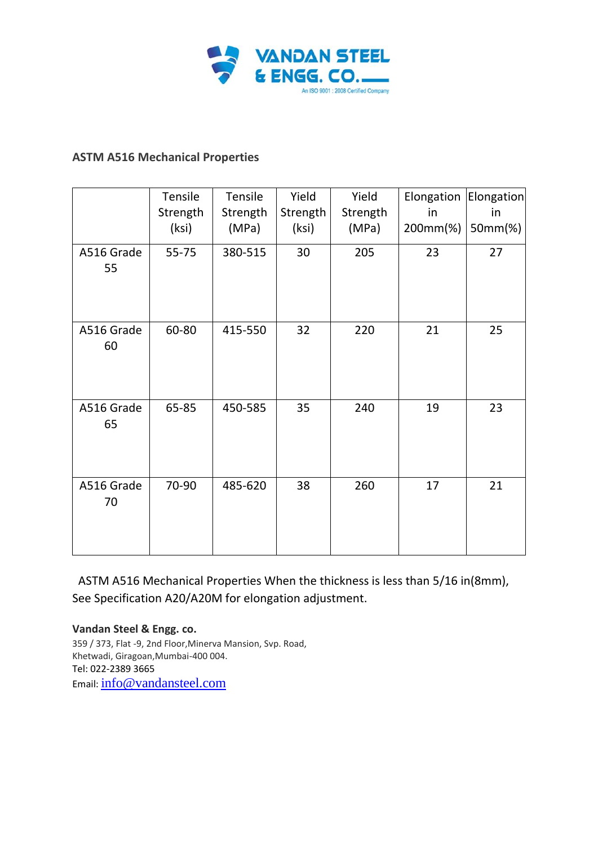

## **ASTM A516 Mechanical Properties**

|                  | Tensile<br>Strength<br>(ksi) | Tensile<br>Strength<br>(MPa) | Yield<br>Strength<br>(ksi) | Yield<br>Strength<br>(MPa) | Elongation<br>in<br>200mm(%) | Elongation<br>in<br>50mm(%) |
|------------------|------------------------------|------------------------------|----------------------------|----------------------------|------------------------------|-----------------------------|
| A516 Grade<br>55 | $55 - 75$                    | 380-515                      | 30                         | 205                        | 23                           | 27                          |
| A516 Grade<br>60 | 60-80                        | 415-550                      | 32                         | 220                        | 21                           | 25                          |
| A516 Grade<br>65 | 65-85                        | 450-585                      | 35                         | 240                        | 19                           | 23                          |
| A516 Grade<br>70 | 70-90                        | 485-620                      | 38                         | 260                        | 17                           | 21                          |

ASTM A516 Mechanical Properties When the thickness is less than 5/16 in(8mm), See Specification A20/A20M for elongation adjustment.

**Vandan Steel & Engg. co.** 359 / 373, Flat -9, 2nd Floor,Minerva Mansion, Svp. Road, Khetwadi, Giragoan,Mumbai-400 004. Tel: 022-2389 3665 Email: [info@vandansteel.com](mailto:info@vandansteel.com)